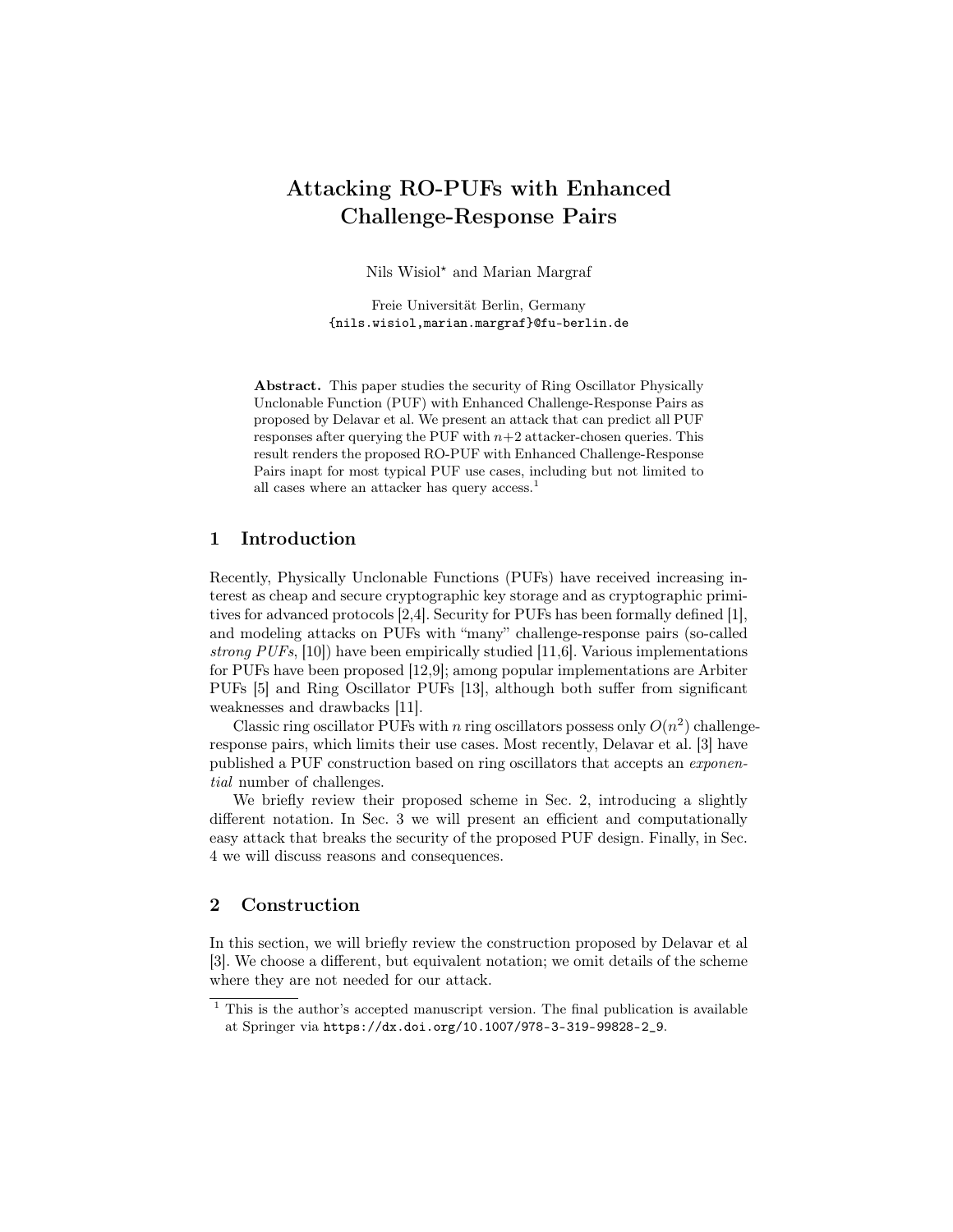# Attacking RO-PUFs with Enhanced Challenge-Response Pairs

Nils Wisiol? and Marian Margraf

Freie Universität Berlin, Germany {nils.wisiol,marian.margraf}@fu-berlin.de

Abstract. This paper studies the security of Ring Oscillator Physically Unclonable Function (PUF) with Enhanced Challenge-Response Pairs as proposed by Delavar et al. We present an attack that can predict all PUF responses after querying the PUF with  $n+2$  attacker-chosen queries. This result renders the proposed RO-PUF with Enhanced Challenge-Response Pairs inapt for most typical PUF use cases, including but not limited to all cases where an attacker has query access.<sup>1</sup>

## 1 Introduction

Recently, Physically Unclonable Functions (PUFs) have received increasing interest as cheap and secure cryptographic key storage and as cryptographic primitives for advanced protocols [2,4]. Security for PUFs has been formally defined [1], and modeling attacks on PUFs with "many" challenge-response pairs (so-called strong  $PUFs$ , [10]) have been empirically studied [11,6]. Various implementations for PUFs have been proposed [12,9]; among popular implementations are Arbiter PUFs [5] and Ring Oscillator PUFs [13], although both suffer from significant weaknesses and drawbacks [11].

Classic ring oscillator PUFs with n ring oscillators possess only  $O(n^2)$  challengeresponse pairs, which limits their use cases. Most recently, Delavar et al. [3] have published a PUF construction based on ring oscillators that accepts an exponential number of challenges.

We briefly review their proposed scheme in Sec. 2, introducing a slightly different notation. In Sec. 3 we will present an efficient and computationally easy attack that breaks the security of the proposed PUF design. Finally, in Sec. 4 we will discuss reasons and consequences.

## 2 Construction

In this section, we will briefly review the construction proposed by Delavar et al [3]. We choose a different, but equivalent notation; we omit details of the scheme where they are not needed for our attack.

<sup>&</sup>lt;sup>1</sup> This is the author's accepted manuscript version. The final publication is available at Springer via https://dx.doi.org/10.1007/978-3-319-99828-2\_9.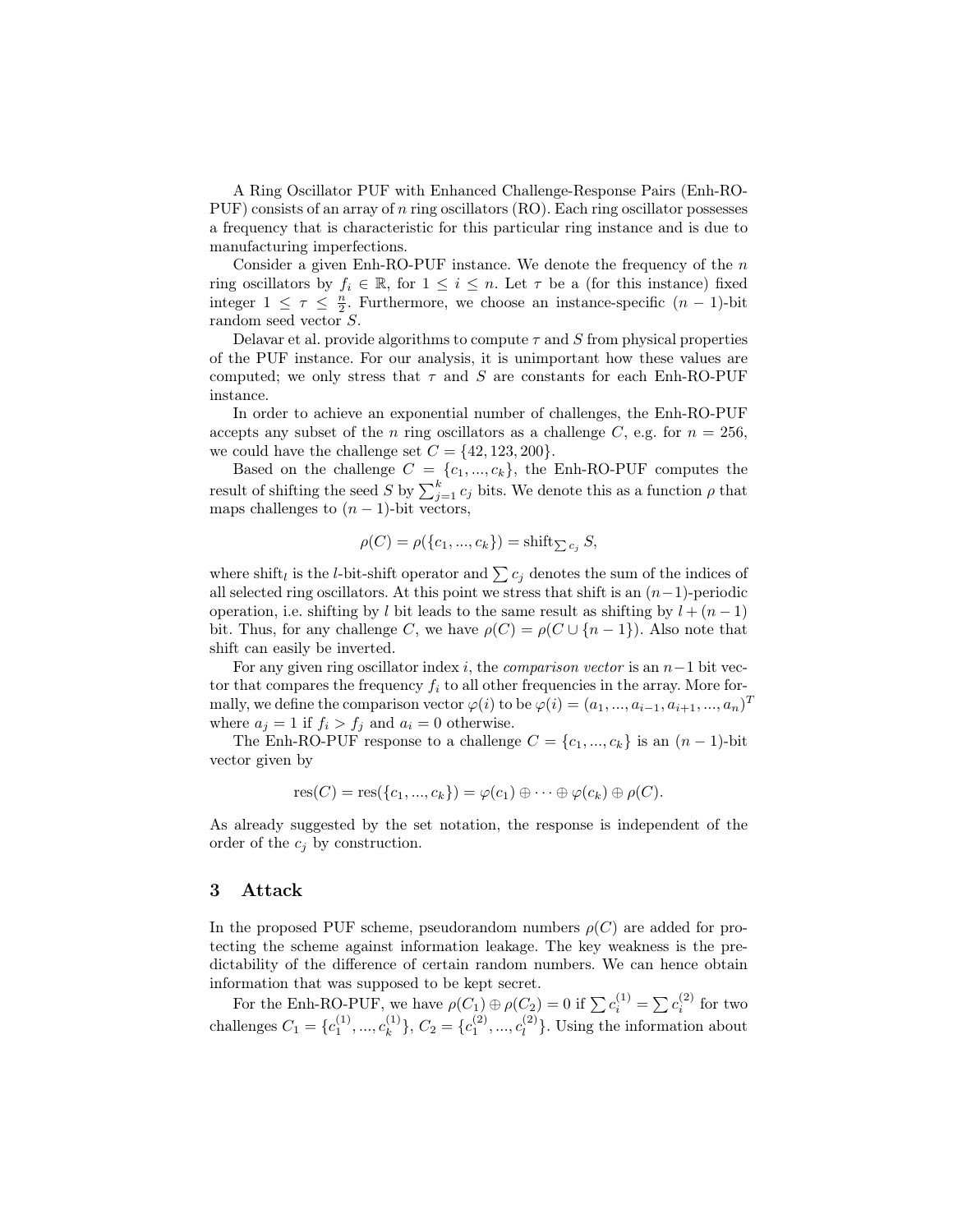A Ring Oscillator PUF with Enhanced Challenge-Response Pairs (Enh-RO-PUF) consists of an array of n ring oscillators (RO). Each ring oscillator possesses a frequency that is characteristic for this particular ring instance and is due to manufacturing imperfections.

Consider a given Enh-RO-PUF instance. We denote the frequency of the  $n$ ring oscillators by  $f_i \in \mathbb{R}$ , for  $1 \leq i \leq n$ . Let  $\tau$  be a (for this instance) fixed integer  $1 \leq \tau \leq \frac{n}{2}$ . Furthermore, we choose an instance-specific  $(n-1)$ -bit random seed vector S.

Delavar et al. provide algorithms to compute  $\tau$  and S from physical properties of the PUF instance. For our analysis, it is unimportant how these values are computed; we only stress that  $\tau$  and  $S$  are constants for each Enh-RO-PUF instance.

In order to achieve an exponential number of challenges, the Enh-RO-PUF accepts any subset of the *n* ring oscillators as a challenge C, e.g. for  $n = 256$ , we could have the challenge set  $C = \{42, 123, 200\}.$ 

Based on the challenge  $C = \{c_1, ..., c_k\}$ , the Enh-RO-PUF computes the result of shifting the seed S by  $\sum_{j=1}^{k} c_j$  bits. We denote this as a function  $\rho$  that maps challenges to  $(n - 1)$ -bit vectors,

$$
\rho(C) = \rho({c_1, ..., c_k}) = \text{shift}_{\sum c_j} S,
$$

where shift<sub>l</sub> is the *l*-bit-shift operator and  $\sum c_j$  denotes the sum of the indices of all selected ring oscillators. At this point we stress that shift is an  $(n-1)$ -periodic operation, i.e. shifting by l bit leads to the same result as shifting by  $l + (n - 1)$ bit. Thus, for any challenge C, we have  $\rho(C) = \rho(C \cup \{n-1\})$ . Also note that shift can easily be inverted.

For any given ring oscillator index i, the *comparison vector* is an  $n-1$  bit vector that compares the frequency  $f_i$  to all other frequencies in the array. More formally, we define the comparison vector  $\varphi(i)$  to be  $\varphi(i) = (a_1, ..., a_{i-1}, a_{i+1}, ..., a_n)^T$ where  $a_j = 1$  if  $f_i > f_j$  and  $a_i = 0$  otherwise.

The Enh-RO-PUF response to a challenge  $C = \{c_1, ..., c_k\}$  is an  $(n-1)$ -bit vector given by

$$
res(C) = res({c_1,...,c_k}) = \varphi(c_1) \oplus \cdots \oplus \varphi(c_k) \oplus \rho(C).
$$

As already suggested by the set notation, the response is independent of the order of the  $c_i$  by construction.

#### 3 Attack

In the proposed PUF scheme, pseudorandom numbers  $\rho(C)$  are added for protecting the scheme against information leakage. The key weakness is the predictability of the difference of certain random numbers. We can hence obtain information that was supposed to be kept secret.

For the Enh-RO-PUF, we have  $\rho(C_1) \oplus \rho(C_2) = 0$  if  $\sum c_i^{(1)} = \sum c_i^{(2)}$  for two challenges  $C_1 = \{c_1^{(1)}, ..., c_k^{(1)}\}$  ${k \choose k}, C_2 = \{c_1^{(2)}, ..., c_l^{(2)}\}$  $\binom{1}{l}$ . Using the information about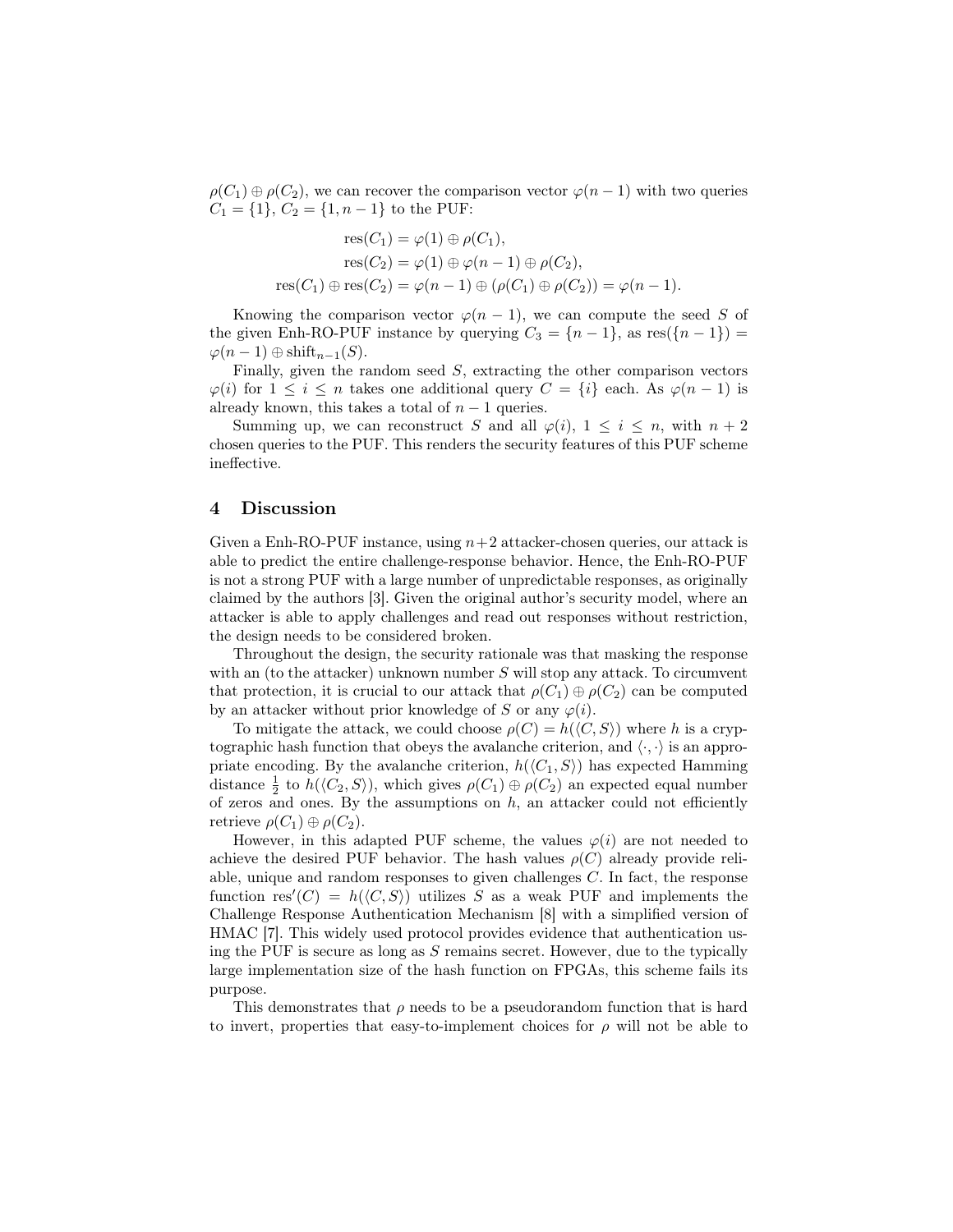$\rho(C_1) \oplus \rho(C_2)$ , we can recover the comparison vector  $\varphi(n-1)$  with two queries  $C_1 = \{1\}, C_2 = \{1, n-1\}$  to the PUF:

$$
res(C_1) = \varphi(1) \oplus \rho(C_1),
$$
  
\n
$$
res(C_2) = \varphi(1) \oplus \varphi(n-1) \oplus \rho(C_2),
$$
  
\n
$$
res(C_1) \oplus res(C_2) = \varphi(n-1) \oplus (\rho(C_1) \oplus \rho(C_2)) = \varphi(n-1).
$$

Knowing the comparison vector  $\varphi(n-1)$ , we can compute the seed S of the given Enh-RO-PUF instance by querying  $C_3 = \{n-1\}$ , as  $res(\{n-1\})$  $\varphi(n-1) \oplus \text{shift}_{n-1}(S)$ .

Finally, given the random seed  $S$ , extracting the other comparison vectors  $\varphi(i)$  for  $1 \leq i \leq n$  takes one additional query  $C = \{i\}$  each. As  $\varphi(n-1)$  is already known, this takes a total of  $n-1$  queries.

Summing up, we can reconstruct S and all  $\varphi(i)$ ,  $1 \leq i \leq n$ , with  $n+2$ chosen queries to the PUF. This renders the security features of this PUF scheme ineffective.

## 4 Discussion

Given a Enh-RO-PUF instance, using  $n+2$  attacker-chosen queries, our attack is able to predict the entire challenge-response behavior. Hence, the Enh-RO-PUF is not a strong PUF with a large number of unpredictable responses, as originally claimed by the authors [3]. Given the original author's security model, where an attacker is able to apply challenges and read out responses without restriction, the design needs to be considered broken.

Throughout the design, the security rationale was that masking the response with an (to the attacker) unknown number  $S$  will stop any attack. To circumvent that protection, it is crucial to our attack that  $\rho(C_1) \oplus \rho(C_2)$  can be computed by an attacker without prior knowledge of S or any  $\varphi(i)$ .

To mitigate the attack, we could choose  $\rho(C) = h(\langle C, S \rangle)$  where h is a cryptographic hash function that obeys the avalanche criterion, and  $\langle \cdot, \cdot \rangle$  is an appropriate encoding. By the avalanche criterion,  $h(\langle C_1, S \rangle)$  has expected Hamming distance  $\frac{1}{2}$  to  $h(\langle C_2, S \rangle)$ , which gives  $\rho(C_1) \oplus \rho(C_2)$  an expected equal number of zeros and ones. By the assumptions on  $h$ , an attacker could not efficiently retrieve  $\rho(C_1) \oplus \rho(C_2)$ .

However, in this adapted PUF scheme, the values  $\varphi(i)$  are not needed to achieve the desired PUF behavior. The hash values  $\rho(C)$  already provide reliable, unique and random responses to given challenges C. In fact, the response function res'(C) =  $h(\langle C, S \rangle)$  utilizes S as a weak PUF and implements the Challenge Response Authentication Mechanism [8] with a simplified version of HMAC [7]. This widely used protocol provides evidence that authentication using the PUF is secure as long as  $S$  remains secret. However, due to the typically large implementation size of the hash function on FPGAs, this scheme fails its purpose.

This demonstrates that  $\rho$  needs to be a pseudorandom function that is hard to invert, properties that easy-to-implement choices for  $\rho$  will not be able to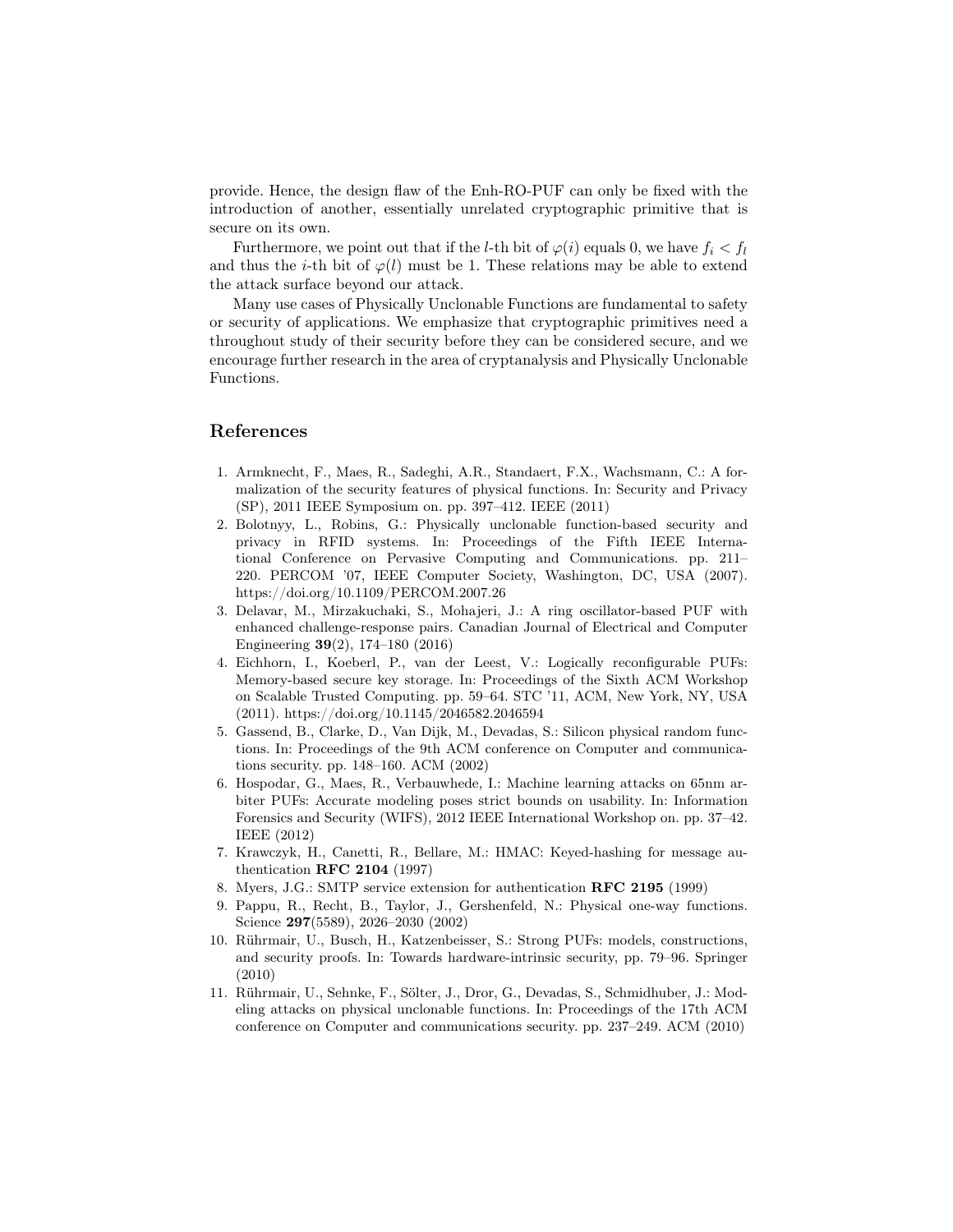provide. Hence, the design flaw of the Enh-RO-PUF can only be fixed with the introduction of another, essentially unrelated cryptographic primitive that is secure on its own.

Furthermore, we point out that if the *l*-th bit of  $\varphi(i)$  equals 0, we have  $f_i < f_l$ and thus the *i*-th bit of  $\varphi(l)$  must be 1. These relations may be able to extend the attack surface beyond our attack.

Many use cases of Physically Unclonable Functions are fundamental to safety or security of applications. We emphasize that cryptographic primitives need a throughout study of their security before they can be considered secure, and we encourage further research in the area of cryptanalysis and Physically Unclonable Functions.

## References

- 1. Armknecht, F., Maes, R., Sadeghi, A.R., Standaert, F.X., Wachsmann, C.: A formalization of the security features of physical functions. In: Security and Privacy (SP), 2011 IEEE Symposium on. pp. 397–412. IEEE (2011)
- 2. Bolotnyy, L., Robins, G.: Physically unclonable function-based security and privacy in RFID systems. In: Proceedings of the Fifth IEEE International Conference on Pervasive Computing and Communications. pp. 211– 220. PERCOM '07, IEEE Computer Society, Washington, DC, USA (2007). https://doi.org/10.1109/PERCOM.2007.26
- 3. Delavar, M., Mirzakuchaki, S., Mohajeri, J.: A ring oscillator-based PUF with enhanced challenge-response pairs. Canadian Journal of Electrical and Computer Engineering 39(2), 174–180 (2016)
- 4. Eichhorn, I., Koeberl, P., van der Leest, V.: Logically reconfigurable PUFs: Memory-based secure key storage. In: Proceedings of the Sixth ACM Workshop on Scalable Trusted Computing. pp. 59–64. STC '11, ACM, New York, NY, USA (2011). https://doi.org/10.1145/2046582.2046594
- 5. Gassend, B., Clarke, D., Van Dijk, M., Devadas, S.: Silicon physical random functions. In: Proceedings of the 9th ACM conference on Computer and communications security. pp. 148–160. ACM (2002)
- 6. Hospodar, G., Maes, R., Verbauwhede, I.: Machine learning attacks on 65nm arbiter PUFs: Accurate modeling poses strict bounds on usability. In: Information Forensics and Security (WIFS), 2012 IEEE International Workshop on. pp. 37–42. IEEE (2012)
- 7. Krawczyk, H., Canetti, R., Bellare, M.: HMAC: Keyed-hashing for message authentication RFC 2104 (1997)
- 8. Myers, J.G.: SMTP service extension for authentication RFC 2195 (1999)
- 9. Pappu, R., Recht, B., Taylor, J., Gershenfeld, N.: Physical one-way functions. Science 297(5589), 2026–2030 (2002)
- 10. Rührmair, U., Busch, H., Katzenbeisser, S.: Strong PUFs: models, constructions, and security proofs. In: Towards hardware-intrinsic security, pp. 79–96. Springer (2010)
- 11. Rührmair, U., Sehnke, F., Sölter, J., Dror, G., Devadas, S., Schmidhuber, J.: Modeling attacks on physical unclonable functions. In: Proceedings of the 17th ACM conference on Computer and communications security. pp. 237–249. ACM (2010)